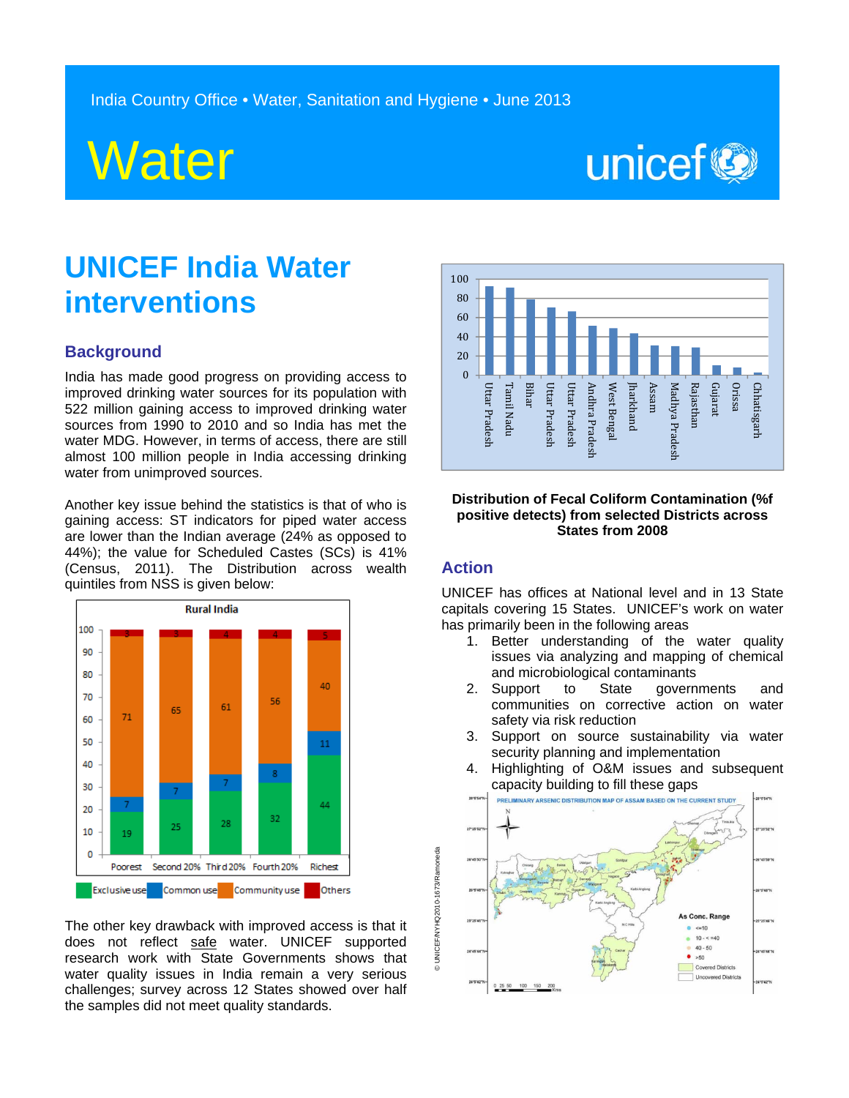

# unicef<sup>®</sup>

## **UNICEF India Water interventions**

#### **Background**

India has made good progress on providing access to improved drinking water sources for its population with 522 million gaining access to improved drinking water sources from 1990 to 2010 and so India has met the water MDG. However, in terms of access, there are still almost 100 million people in India accessing drinking water from unimproved sources.

Another key issue behind the statistics is that of who is gaining access: ST indicators for piped water access are lower than the Indian average (24% as opposed to 44%); the value for Scheduled Castes (SCs) is 41% (Census, 2011). The Distribution across wealth quintiles from NSS is given below:



The other key drawback with improved access is that it does not reflect safe water. UNICEF supported research work with State Governments shows that water quality issues in India remain a very serious challenges; survey across 12 States showed over half the samples did not meet quality standards.



#### **Distribution of Fecal Coliform Contamination (%f positive detects) from selected Districts across States from 2008**

### **Action**

© UNICEF/NYHQ2010-1673/Ramoneda

© UNICEF/NYHQ2010-1673/Ramoneda

UNICEF has offices at National level and in 13 State capitals covering 15 States. UNICEF's work on water has primarily been in the following areas

- 1. Better understanding of the water quality issues via analyzing and mapping of chemical and microbiological contaminants
- 2. Support to State governments and communities on corrective action on water safety via risk reduction
- 3. Support on source sustainability via water security planning and implementation
- 4. Highlighting of O&M issues and subsequent Capacity building to fill these gaps